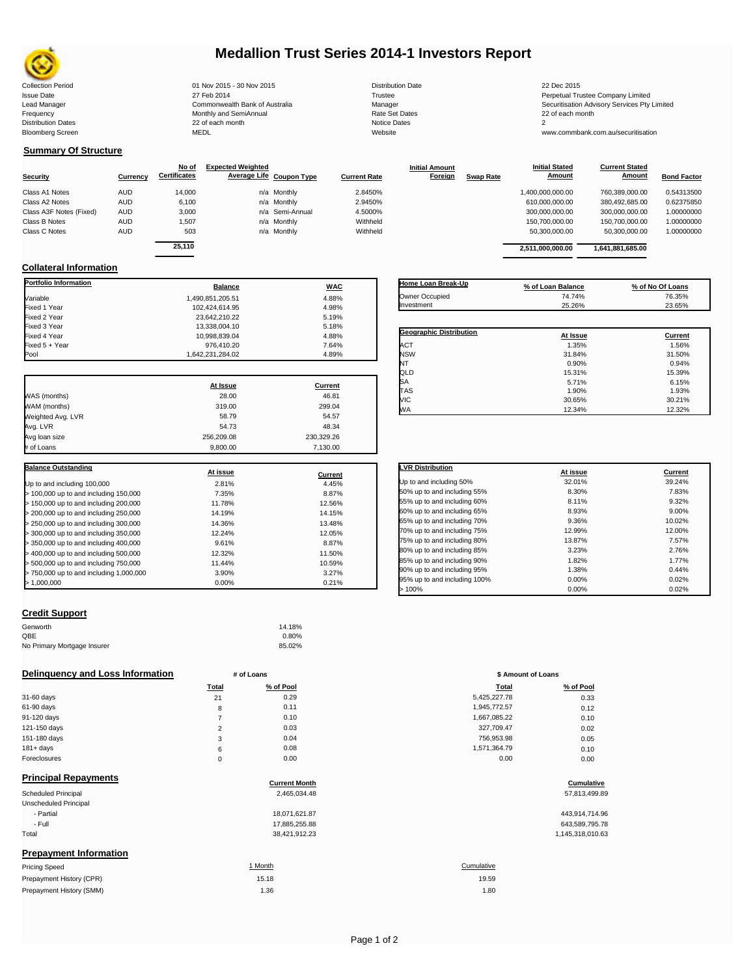

# **Medallion Trust Series 2014-1 Investors Report**

| <b>Collection Period</b>  | 01 Nov 2015 - 30 Nov 2015      | <b>Distribution Date</b> | 22 Dec 2015                             |
|---------------------------|--------------------------------|--------------------------|-----------------------------------------|
| <b>Issue Date</b>         | 27 Feb 2014                    | Trustee                  | Perpetual Trustee Company Limited       |
| Lead Manager              | Commonwealth Bank of Australia | Manager                  | Securitisation Advisory Services Pty Li |
| Frequency                 | Monthly and SemiAnnual         | <b>Rate Set Dates</b>    | 22 of each month                        |
| <b>Distribution Dates</b> | 22 of each month               | Notice Dates             |                                         |
| <b>Bloomberg Screen</b>   | MEDL                           | Website                  | www.commbank.com.au/securitisation      |

## **Summary Of Structure**

|                         |            | No of               | <b>Expected Weighted</b> |                          |                     | <b>Initial Amount</b> |                  | <b>Initial Stated</b> | <b>Current Stated</b> |                    |
|-------------------------|------------|---------------------|--------------------------|--------------------------|---------------------|-----------------------|------------------|-----------------------|-----------------------|--------------------|
| <b>Security</b>         | Currency   | <b>Certificates</b> |                          | Average Life Coupon Type | <b>Current Rate</b> | Foreign               | <b>Swap Rate</b> | Amount                | <b>Amount</b>         | <b>Bond Factor</b> |
| Class A1 Notes          | <b>AUD</b> | 14,000              |                          | n/a Monthly              | 2.8450%             |                       |                  | 1,400,000,000.00      | 760,389,000.00        | 0.54313500         |
| Class A2 Notes          | <b>AUD</b> | 6,100               |                          | n/a Monthly              | 2.9450%             |                       |                  | 610,000,000.00        | 380,492,685.00        | 0.62375850         |
| Class A3F Notes (Fixed) | <b>AUD</b> | 3.000               |                          | n/a Semi-Annual          | 4.5000%             |                       |                  | 300.000.000.00        | 300.000.000.00        | 1.00000000         |
| Class B Notes           | <b>AUD</b> | 1.507               |                          | n/a Monthly              | Withheld            |                       |                  | 150.700.000.00        | 150,700,000.00        | 1.00000000         |
| Class C Notes           | <b>AUD</b> | 503                 |                          | n/a Monthly              | Withheld            |                       |                  | 50,300,000.00         | 50,300,000.00         | 1.00000000         |
|                         |            |                     |                          |                          |                     |                       |                  |                       |                       |                    |

| 25.110 |                 |          | 2.511.000.000.00 | 1,641,881,685.00 |            |
|--------|-----------------|----------|------------------|------------------|------------|
| 503    | n/a Monthly     | Withheld | 50.300.000.00    | 50.300.000.00    | 1.00000000 |
| 1.507  | n/a Monthly     | Withheld | 150.700.000.00   | 150,700,000,00   | 1.00000000 |
| 3.000  | n/a Semi-Annual | 4.5000%  | 300.000.000.00   | 300.000.000.00   | 1.00000000 |
| 6,100  | n/a Monthly     | 2.9450%  | 610.000.000.00   | 380,492,685.00   | 0.62375850 |
| 14.000 | n/a Monthly     | 2.8450%  | 1.400.000.000.00 | 760.389.000.00   | 0.54313500 |
|        |                 |          |                  |                  |            |

## **Collateral Information**

| <b>Portfolio Information</b>            | <b>Balance</b>   | <b>WAC</b>     |
|-----------------------------------------|------------------|----------------|
| Variable                                | 1.490.851.205.51 | 4.88%          |
| Fixed 1 Year                            | 102,424,614.95   | 4.98%          |
| Fixed 2 Year                            | 23,642,210.22    | 5.19%          |
| Fixed 3 Year                            | 13.338.004.10    | 5.18%          |
| Fixed 4 Year                            | 10,998,839.04    | 4.88%          |
| Fixed 5 + Year                          | 976,410.20       | 7.64%          |
| Pool                                    | 1,642,231,284.02 | 4.89%          |
|                                         | At Issue         | <b>Current</b> |
| WAS (months)                            | 28.00            | 46.81          |
| WAM (months)                            | 319.00           | 299.04         |
| Weighted Avg. LVR                       | 58.79            | 54.57          |
| Avg. LVR                                | 54.73            | 48.34          |
| Avg loan size                           | 256,209.08       | 230,329.26     |
| # of Loans                              | 9,800.00         | 7,130.00       |
| <b>Balance Outstanding</b>              |                  |                |
|                                         | At issue         | <b>Current</b> |
| Up to and including 100,000             | 2.81%            | 4.45%          |
| > 100,000 up to and including 150,000   | 7.35%            | 8.87%          |
| > 150,000 up to and including 200,000   | 11.78%           | 12.56%         |
| > 200,000 up to and including 250,000   | 14.19%           | 14.15%         |
| > 250,000 up to and including 300,000   | 14.36%           | 13.48%         |
| > 300,000 up to and including 350,000   | 12.24%           | 12.05%         |
| > 350,000 up to and including 400,000   | 9.61%            | 8.87%          |
| > 400,000 up to and including 500,000   | 12.32%           | 11.50%         |
| > 500,000 up to and including 750,000   | 11.44%           | 10.59%         |
| > 750,000 up to and including 1,000,000 | 3.90%            | 3.27%          |
| >1.000.000                              | 0.00%            | 0.21%          |

## **Credit Support**

Prepayment History (SMM)

| .                           |        |
|-----------------------------|--------|
| Genworth                    | 14.18% |
| OBE                         | 0.80%  |
| No Primary Mortgage Insurer | 85.02% |

## **Delinquency and Loss Information # of Loans # of Loans \$ Amount of Loans**

|              | Total    | % of Pool | <b>Total</b> | % of Pool |
|--------------|----------|-----------|--------------|-----------|
| 31-60 davs   | 21       | 0.29      | 5,425,227.78 | 0.33      |
| 61-90 days   | 8        | 0.11      | 1.945.772.57 | 0.12      |
| 91-120 days  |          | 0.10      | 1,667,085.22 | 0.10      |
| 121-150 days | $\sim$   | 0.03      | 327.709.47   | 0.02      |
| 151-180 days | 3        | 0.04      | 756,953.98   | 0.05      |
| $181 + days$ | 6        | 0.08      | 1,571,364.79 | 0.10      |
| Foreclosures | $\Omega$ | 0.00      | 0.00         | 0.00      |

| <b>Principal Repayments</b>   |                      |                  |
|-------------------------------|----------------------|------------------|
|                               | <b>Current Month</b> | Cumulative       |
| Scheduled Principal           | 2.465.034.48         | 57,813,499.89    |
| Unscheduled Principal         |                      |                  |
| - Partial                     | 18,071,621.87        | 443,914,714.96   |
| - Full                        | 17,885,255.88        | 643,589,795.78   |
| Total                         | 38,421,912.23        | 1,145,318,010.63 |
| <b>Prepayment Information</b> |                      |                  |
| <b>Pricing Speed</b>          | 1 Month              | Cumulative       |
| Prepayment History (CPR)      | 15.18                | 19.59            |

| <b>Home Loan Break-Up</b>      | % of Loan Balance | % of No Of Loans |
|--------------------------------|-------------------|------------------|
| Owner Occupied                 | 74.74%            | 76.35%           |
| Investment                     | 25.26%            | 23.65%           |
|                                |                   |                  |
| <b>Geographic Distribution</b> | At Issue          | Current          |
| <b>ACT</b>                     | 1.35%             | 1.56%            |
| <b>NSW</b>                     | 31.84%            | 31.50%           |
| NT                             | 0.90%             | 0.94%            |
| QLD                            | 15.31%            | 15.39%           |
| SA                             | 5.71%             | 6.15%            |
| TAS                            | 1.90%             | 1.93%            |
| <b>VIC</b>                     | 30.65%            | 30.21%           |
| <b>WA</b>                      | 12.34%            | 12.32%           |

| <b>LVR Distribution</b>      | At issue | <b>Current</b> |
|------------------------------|----------|----------------|
| Up to and including 50%      | 32.01%   | 39.24%         |
| 50% up to and including 55%  | 8.30%    | 7.83%          |
| 55% up to and including 60%  | 8.11%    | 9.32%          |
| 60% up to and including 65%  | 8.93%    | 9.00%          |
| 65% up to and including 70%  | 9.36%    | 10.02%         |
| 70% up to and including 75%  | 12.99%   | 12.00%         |
| 75% up to and including 80%  | 13.87%   | 7.57%          |
| 80% up to and including 85%  | 3.23%    | 2.76%          |
| 85% up to and including 90%  | 1.82%    | 1.77%          |
| 90% up to and including 95%  | 1.38%    | 0.44%          |
| 95% up to and including 100% | 0.00%    | 0.02%          |
| >100%                        | 0.00%    | 0.02%          |

| Total          | % of Pool | <b>Total</b> | % of Pool |
|----------------|-----------|--------------|-----------|
| 21             | 0.29      | 5,425,227.78 | 0.33      |
| 8              | 0.11      | 1,945,772.57 | 0.12      |
| 7              | 0.10      | 1,667,085.22 | 0.10      |
| $\overline{2}$ | 0.03      | 327,709.47   | 0.02      |
| 3              | 0.04      | 756,953.98   | 0.05      |
| 6              | 0.08      | 1,571,364.79 | 0.10      |
| 0              | 0.00      | 0.00         | 0.00      |
|                |           |              |           |

# 19.59